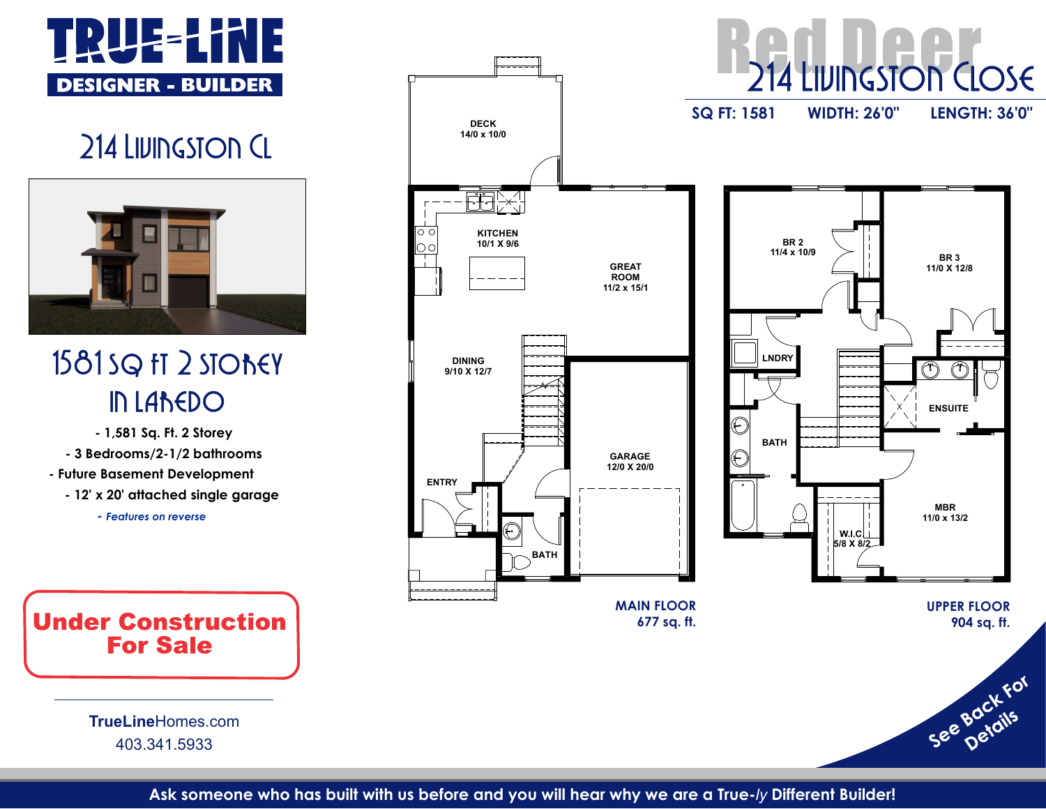



- Future Basement Development - 12' x 20' attached **single** garage

- Features on reverse

TrueLineHomes.com 403.341.5933